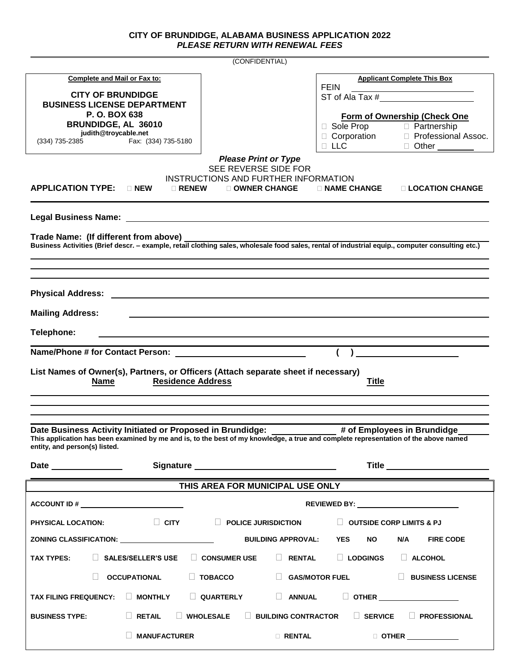## **CITY OF BRUNDIDGE, ALABAMA BUSINESS APPLICATION 2022** *PLEASE RETURN WITH RENEWAL FEES*

| (CONFIDENTIAL)                                                                                                                                                                                                                                                    |                                                                                |                                                                          |  |
|-------------------------------------------------------------------------------------------------------------------------------------------------------------------------------------------------------------------------------------------------------------------|--------------------------------------------------------------------------------|--------------------------------------------------------------------------|--|
| <b>Complete and Mail or Fax to:</b>                                                                                                                                                                                                                               |                                                                                | <b>Applicant Complete This Box</b>                                       |  |
| <b>CITY OF BRUNDIDGE</b>                                                                                                                                                                                                                                          |                                                                                | <b>FEIN</b>                                                              |  |
| <b>BUSINESS LICENSE DEPARTMENT</b>                                                                                                                                                                                                                                |                                                                                |                                                                          |  |
| P.O. BOX 638<br>BRUNDIDGE, AL 36010                                                                                                                                                                                                                               |                                                                                | Form of Ownership (Check One<br><b>D</b> Partnership<br>$\Box$ Sole Prop |  |
| judith@troycable.net<br>Fax: (334) 735-5180<br>(334) 735-2385                                                                                                                                                                                                     |                                                                                | □ Corporation<br>□ Professional Assoc.                                   |  |
|                                                                                                                                                                                                                                                                   | <b>Please Print or Type</b>                                                    | $\Box$ LLC<br>□ Other <u>_______</u>                                     |  |
|                                                                                                                                                                                                                                                                   | SEE REVERSE SIDE FOR                                                           |                                                                          |  |
| <b>APPLICATION TYPE:</b><br>$\sqcap$ New                                                                                                                                                                                                                          | INSTRUCTIONS AND FURTHER INFORMATION<br>$\square$ RENEW<br>$\Box$ OWNER CHANGE | $\Box$ NAME CHANGE<br>$\Box$ LOCATION CHANGE                             |  |
|                                                                                                                                                                                                                                                                   |                                                                                |                                                                          |  |
|                                                                                                                                                                                                                                                                   |                                                                                |                                                                          |  |
|                                                                                                                                                                                                                                                                   |                                                                                |                                                                          |  |
| Trade Name: (If different from above)                                                                                                                                                                                                                             |                                                                                |                                                                          |  |
|                                                                                                                                                                                                                                                                   |                                                                                |                                                                          |  |
|                                                                                                                                                                                                                                                                   |                                                                                |                                                                          |  |
| <b>Physical Address:</b>                                                                                                                                                                                                                                          |                                                                                |                                                                          |  |
| <b>Mailing Address:</b>                                                                                                                                                                                                                                           |                                                                                |                                                                          |  |
| Telephone:                                                                                                                                                                                                                                                        |                                                                                |                                                                          |  |
|                                                                                                                                                                                                                                                                   |                                                                                |                                                                          |  |
| List Names of Owner(s), Partners, or Officers (Attach separate sheet if necessary)                                                                                                                                                                                |                                                                                |                                                                          |  |
| <b>Name</b>                                                                                                                                                                                                                                                       | <b>Residence Address</b>                                                       | <b>Title</b>                                                             |  |
|                                                                                                                                                                                                                                                                   |                                                                                |                                                                          |  |
|                                                                                                                                                                                                                                                                   |                                                                                |                                                                          |  |
| Date Business Activity Initiated or Proposed in Brundidge:<br># of Employees in Brundidge<br>This application has been examined by me and is, to the best of my knowledge, a true and complete representation of the above named<br>entity, and person(s) listed. |                                                                                |                                                                          |  |
|                                                                                                                                                                                                                                                                   |                                                                                |                                                                          |  |
| <u> 1989 - Johann Barnett, fransk politiker (d. 1989)</u>                                                                                                                                                                                                         |                                                                                | Title _______________________                                            |  |
| THIS AREA FOR MUNICIPAL USE ONLY                                                                                                                                                                                                                                  |                                                                                |                                                                          |  |
|                                                                                                                                                                                                                                                                   |                                                                                |                                                                          |  |
| <b>PHYSICAL LOCATION:</b>                                                                                                                                                                                                                                         | CITY DEPOLICE JURISDICTION                                                     | $\Box$ OUTSIDE CORP LIMITS & PJ                                          |  |
| ZONING CLASSIFICATION: Network and the set of the set of the set of the set of the set of the set of the set o                                                                                                                                                    | <b>BUILDING APPROVAL:</b>                                                      | NO.<br>N/A<br><b>FIRE CODE</b><br><b>YES</b>                             |  |
| <b>TAX TYPES:</b><br>$\Box$ SALES/SELLER'S USE                                                                                                                                                                                                                    | $\Box$ CONSUMER USE<br>$\Box$ RENTAL                                           | $\Box$ LODGINGS<br>$\Box$ ALCOHOL                                        |  |
| $\Box$<br><b>OCCUPATIONAL</b>                                                                                                                                                                                                                                     | $\Box$ TOBACCO                                                                 | $\Box$ GAS/MOTOR FUEL<br><b>BUSINESS LICENSE</b>                         |  |
| <b>TAX FILING FREQUENCY:</b><br>$\Box$ MONTHLY                                                                                                                                                                                                                    | $\Box$ ANNUAL<br>$\Box$ QUARTERLY                                              |                                                                          |  |
| $\Box$ WHOLESALE<br><b>BUILDING CONTRACTOR</b><br>$\Box$ SERVICE<br><b>BUSINESS TYPE:</b><br>$\Box$ RETAIL<br>$\Box$ PROFESSIONAL                                                                                                                                 |                                                                                |                                                                          |  |
|                                                                                                                                                                                                                                                                   | <b>MANUFACTURER</b>                                                            | RENTAL <b>Executive State</b><br>$\Box$ other $\qquad \qquad \qquad$     |  |